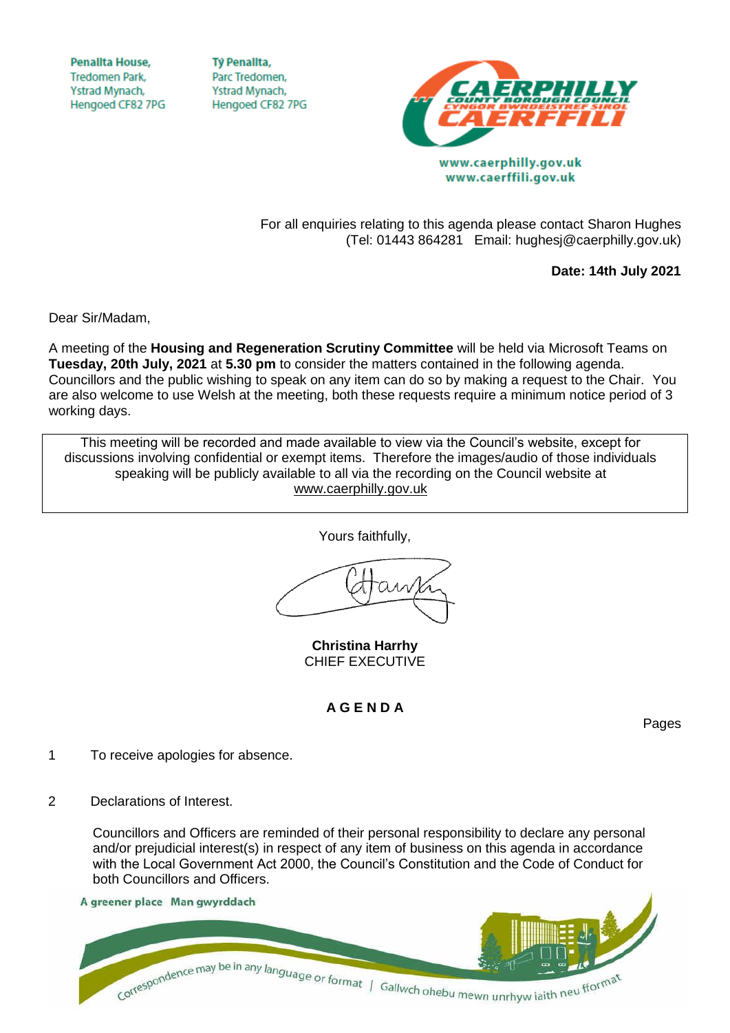**Penallta House, Tredomen Park.** Ystrad Mynach, Hengoed CF82 7PG

**TV Penallta,** Parc Tredomen. Ystrad Mynach, Hengoed CF82 7PG



www.caerffili.gov.uk

For all enquiries relating to this agenda please contact Sharon Hughes (Tel: 01443 864281 Email: hughesj@caerphilly.gov.uk)

**Date: 14th July 2021**

Dear Sir/Madam,

A meeting of the **Housing and Regeneration Scrutiny Committee** will be held via Microsoft Teams on **Tuesday, 20th July, 2021** at **5.30 pm** to consider the matters contained in the following agenda. Councillors and the public wishing to speak on any item can do so by making a request to the Chair. You are also welcome to use Welsh at the meeting, both these requests require a minimum notice period of 3 working days.

This meeting will be recorded and made available to view via the Council's website, except for discussions involving confidential or exempt items. Therefore the images/audio of those individuals speaking will be publicly available to all via the recording on the Council website at [www.caerphilly.gov.uk](http://www.caerphilly.gov.uk/)

Yours faithfully,

**Christina Harrhy** CHIEF EXECUTIVE

## **A G E N D A**

Pages

- 1 To receive apologies for absence.
- 2 Declarations of Interest.

Councillors and Officers are reminded of their personal responsibility to declare any personal and/or prejudicial interest(s) in respect of any item of business on this agenda in accordance with the Local Government Act 2000, the Council's Constitution and the Code of Conduct for both Councillors and Officers.